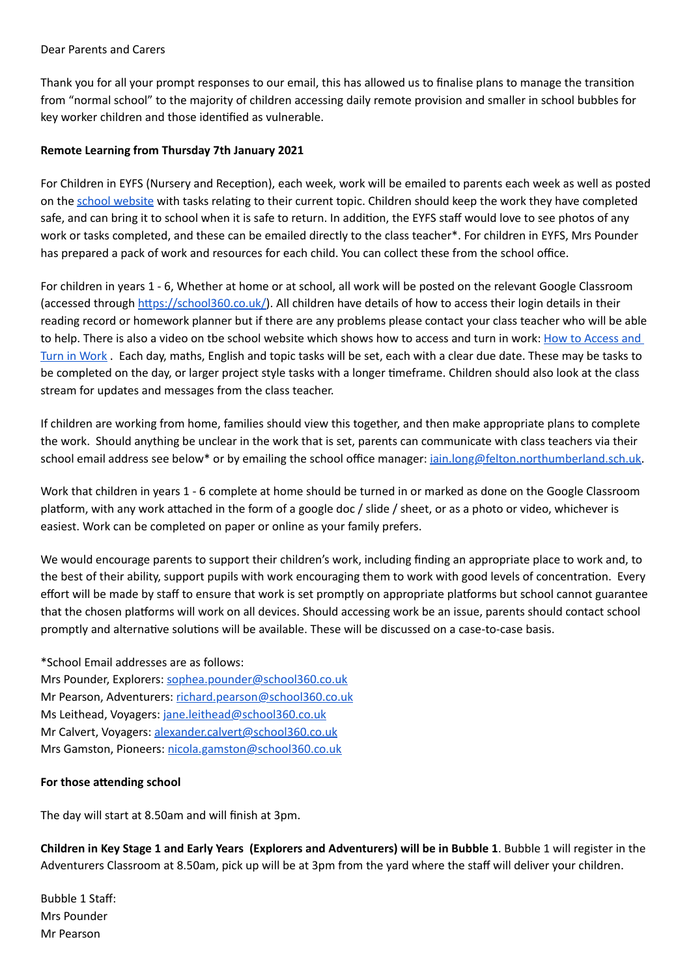### Dear Parents and Carers

Thank you for all your prompt responses to our email, this has allowed us to finalise plans to manage the transition from "normal school" to the majority of children accessing daily remote provision and smaller in school bubbles for key worker children and those identified as vulnerable.

## **Remote Learning from Thursday 7th January 2021**

For Children in EYFS (Nursery and Reception), each week, work will be emailed to parents each week as well as posted on the school [website](http://www.felton.northumberland.sch.uk/website) with tasks relating to their current topic. Children should keep the work they have completed safe, and can bring it to school when it is safe to return. In addition, the EYFS staff would love to see photos of any work or tasks completed, and these can be emailed directly to the class teacher\*. For children in EYFS, Mrs Pounder has prepared a pack of work and resources for each child. You can collect these from the school office.

For children in years 1 - 6, Whether at home or at school, all work will be posted on the relevant Google Classroom (accessed through https://school360.co.uk/). All children have details of how to access their login details in their reading record or homework planner but if there are any problems please contact your class teacher who will be able to help. There is also a video on tbe school [website](http://www.felton.northumberland.sch.uk/website/curriculum_overview/120269) which shows how to access and turn in work: How to Access and Turn in Work . Each day, maths, English and topic tasks will be set, each with a clear due date. These may be tasks to be completed on the day, or larger project style tasks with a longer timeframe. Children should also look at the class stream for updates and messages from the class teacher.

If children are working from home, families should view this together, and then make appropriate plans to complete the work. Should anything be unclear in the work that is set, parents can communicate with class teachers via their school email address see below\* or by emailing the school office manager: jain.long@felton.northumberland.sch.uk.

Work that children in years 1 - 6 complete at home should be turned in or marked as done on the Google Classroom platform, with any work attached in the form of a google doc / slide / sheet, or as a photo or video, whichever is easiest. Work can be completed on paper or online as your family prefers.

We would encourage parents to support their children's work, including finding an appropriate place to work and, to the best of their ability, support pupils with work encouraging them to work with good levels of concentration. Every effort will be made by staff to ensure that work is set promptly on appropriate platforms but school cannot guarantee that the chosen platforms will work on all devices. Should accessing work be an issue, parents should contact school promptly and alternative solutions will be available. These will be discussed on a case-to-case basis.

\*School Email addresses are as follows: Mrs Pounder, Explorers: [sophea.pounder@school360.co.uk](mailto:sophea.pounder@school360.co.uk) Mr Pearson, Adventurers: [richard.pearson@school360.co.uk](mailto:richard.pearson@school360.co.uk) Ms Leithead, Voyagers: [jane.leithead@school360.co.uk](mailto:jane.leithead@school360.co.uk) Mr Calvert, Voyagers: [alexander.calvert@school360.co.uk](mailto:alexander.calvert@school360.co.uk) Mrs Gamston, Pioneers: [nicola.gamston@school360.co.uk](mailto:nicola.gamston@school360.co.uk)

# **For those attending school**

The day will start at 8.50am and will finish at 3pm.

Children in Key Stage 1 and Early Years (Explorers and Adventurers) will be in Bubble 1. Bubble 1 will register in the Adventurers Classroom at 8.50am, pick up will be at 3pm from the yard where the staff will deliver your children.

Bubble 1 Staff: Mrs Pounder Mr Pearson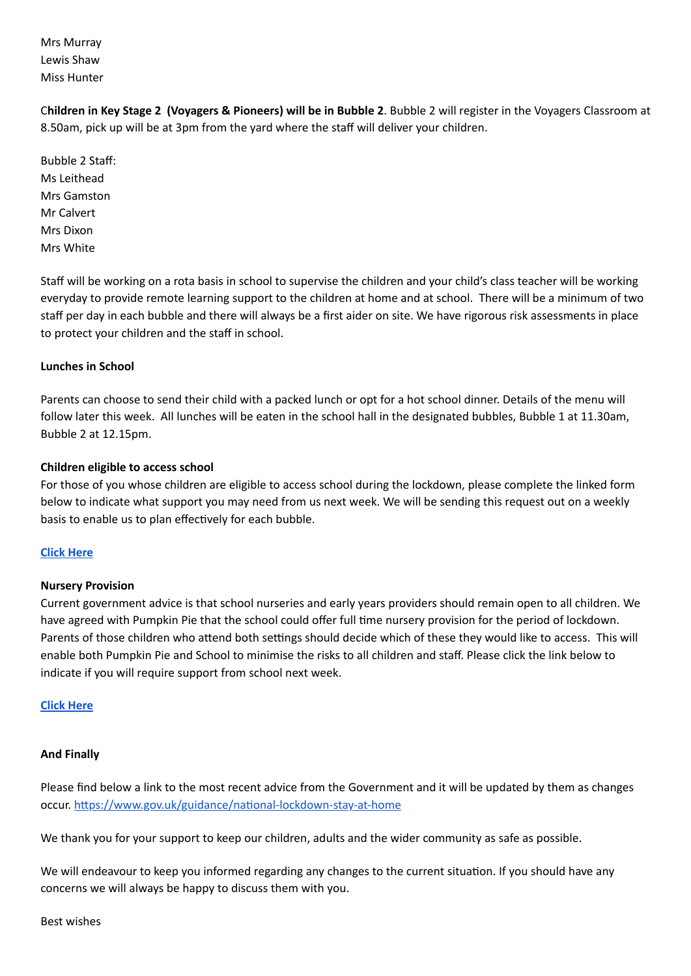Mrs Murray Lewis Shaw Miss Hunter

C**hildren in Key Stage 2 (Voyagers & Pioneers) will be in Bubble 2**. Bubble 2 will register in the Voyagers Classroom at 8.50am, pick up will be at 3pm from the yard where the staff will deliver your children.

Bubble 2 Staff: Ms Leithead Mrs Gamston Mr Calvert Mrs Dixon Mrs White

Staff will be working on a rota basis in school to supervise the children and your child's class teacher will be working everyday to provide remote learning support to the children at home and at school. There will be a minimum of two staff per day in each bubble and there will always be a first aider on site. We have rigorous risk assessments in place to protect your children and the staff in school.

### **Lunches in School**

Parents can choose to send their child with a packed lunch or opt for a hot school dinner. Details of the menu will follow later this week. All lunches will be eaten in the school hall in the designated bubbles, Bubble 1 at 11.30am, Bubble 2 at 12.15pm.

### **Children eligible to access school**

For those of you whose children are eligible to access school during the lockdown, please complete the linked form below to indicate what support you may need from us next week. We will be sending this request out on a weekly basis to enable us to plan effectively for each bubble.

### **Click [Here](https://docs.google.com/forms/d/e/1FAIpQLSeoNiRxQQSsQ-i0MqNJY-1TS5BBPXjPOBfbJGfkNgE2EApqCg/viewform?usp=sf_link)**

### **Nursery Provision**

Current government advice is that school nurseries and early years providers should remain open to all children. We have agreed with Pumpkin Pie that the school could offer full time nursery provision for the period of lockdown. Parents of those children who attend both settings should decide which of these they would like to access. This will enable both Pumpkin Pie and School to minimise the risks to all children and staff. Please click the link below to indicate if you will require support from school next week.

### **Click [Here](https://docs.google.com/forms/d/e/1FAIpQLSeoNiRxQQSsQ-i0MqNJY-1TS5BBPXjPOBfbJGfkNgE2EApqCg/viewform?usp=sf_link)**

### **And Finally**

Please find below a link to the most recent advice from the Government and it will be updated by them as changes occur. https://www.gov.uk/guidance/national-lockdown-stay-at-home

We thank you for your support to keep our children, adults and the wider community as safe as possible.

We will endeavour to keep you informed regarding any changes to the current situation. If you should have any concerns we will always be happy to discuss them with you.

Best wishes